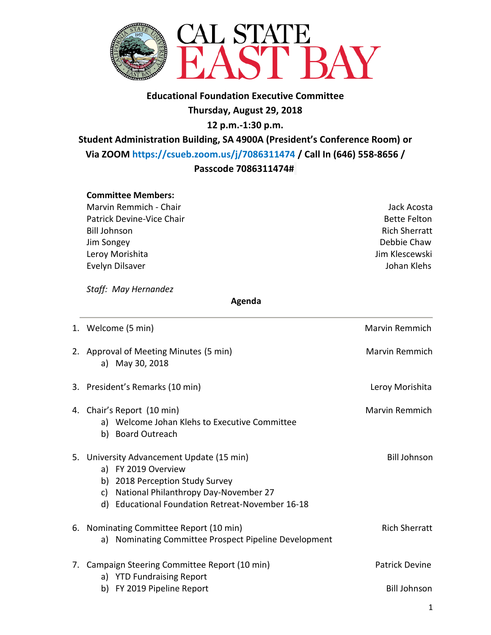

# **Educational Foundation Executive Committee Thursday, August 29, 2018 12 p.m.-1:30 p.m.**

**Student Administration Building, SA 4900A (President's Conference Room) or Via ZOOM [https://csueb.zoom.us/j/7086311474](https://csueb.zoom.us/j/7086311474%20/) / Call In (646) 558-8656 / Passcode 7086311474#**

#### **Committee Members:**

Marvin Remmich - Chair **Jack Acosta** Jack Acosta Patrick Devine-Vice Chair **Bette Felton** Bette Felton Bill Johnson Rich Sherratt Jim Songey Debbie Chaw Leroy Morishita **Jim Klescewski** Evelyn Dilsaver **Guide Communist Communist Communist Communist Communist Communist Communist Communist Communist Communist Communist Communist Communist Communist Communist Communist Communist Communist Communist Communist** 

*Staff: May Hernandez* 

 **Agenda**

| 1. Welcome (5 min)                                                                                                                                                                                        | Marvin Remmich        |
|-----------------------------------------------------------------------------------------------------------------------------------------------------------------------------------------------------------|-----------------------|
| 2. Approval of Meeting Minutes (5 min)<br>a) May 30, 2018                                                                                                                                                 | <b>Marvin Remmich</b> |
| 3. President's Remarks (10 min)                                                                                                                                                                           | Leroy Morishita       |
| 4. Chair's Report (10 min)<br>a) Welcome Johan Klehs to Executive Committee<br>b) Board Outreach                                                                                                          | <b>Marvin Remmich</b> |
| 5. University Advancement Update (15 min)<br>a) FY 2019 Overview<br>b) 2018 Perception Study Survey<br>National Philanthropy Day-November 27<br>c)<br>Educational Foundation Retreat-November 16-18<br>d) | <b>Bill Johnson</b>   |
| 6. Nominating Committee Report (10 min)<br>Nominating Committee Prospect Pipeline Development<br>a)                                                                                                       | <b>Rich Sherratt</b>  |
| 7. Campaign Steering Committee Report (10 min)<br>a) YTD Fundraising Report                                                                                                                               | <b>Patrick Devine</b> |
| b) FY 2019 Pipeline Report                                                                                                                                                                                | <b>Bill Johnson</b>   |